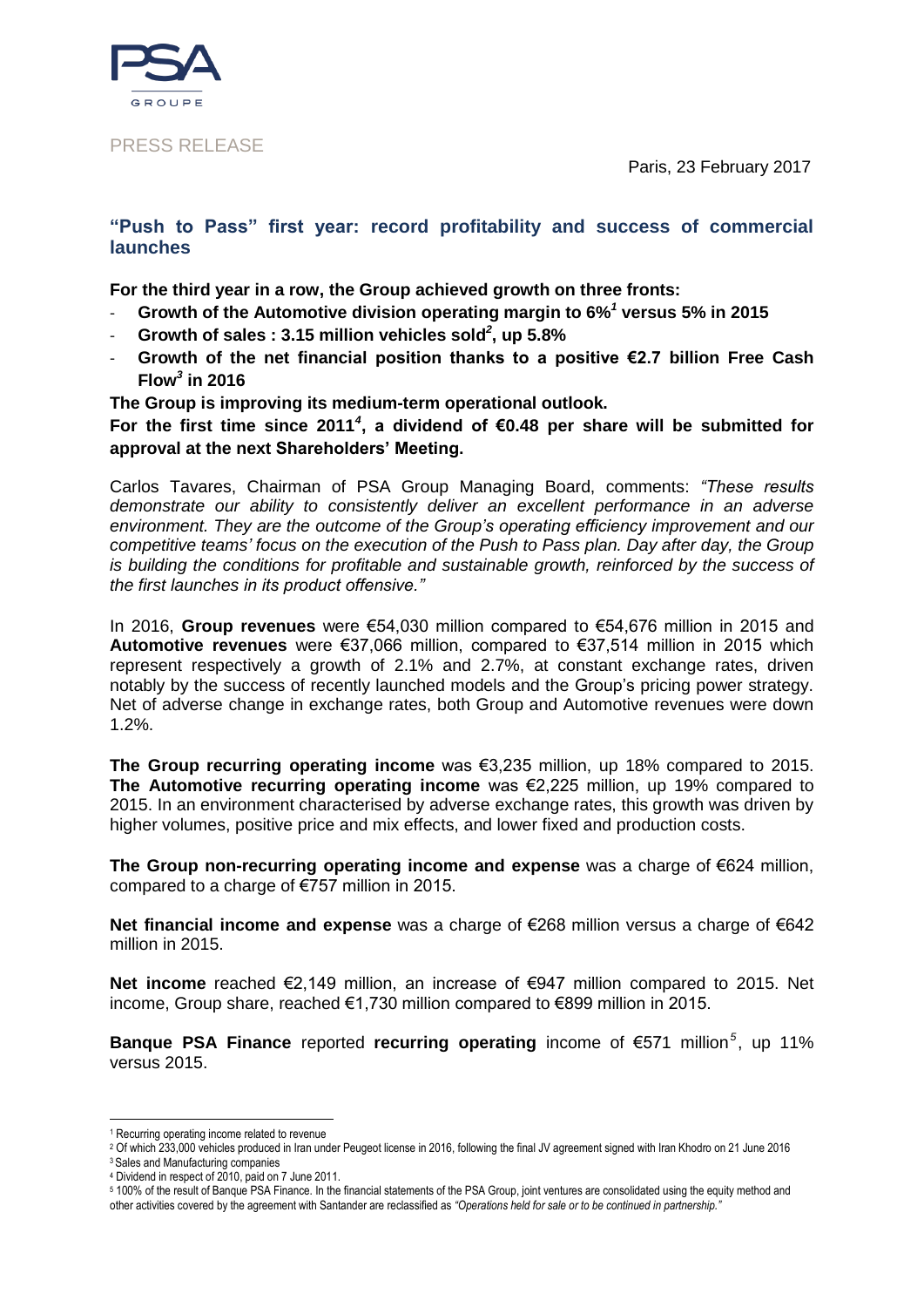Paris, 23 February 2017



## PRESS RELEASE

## **"Push to Pass" first year: record profitability and success of commercial launches**

**For the third year in a row, the Group achieved growth on three fronts:** 

- **Growth of the Automotive division operating margin to 6%***<sup>1</sup>* **versus 5% in 2015**
- **Growth of sales : 3.15 million vehicles sold***<sup>2</sup>* **, up 5.8%**
- **Growth of the net financial position thanks to a positive €2.7 billion Free Cash Flow***<sup>3</sup>* **in 2016**
- **The Group is improving its medium-term operational outlook.**

**For the first time since 2011***<sup>4</sup>* **, a dividend of €0.48 per share will be submitted for approval at the next Shareholders' Meeting.**

Carlos Tavares, Chairman of PSA Group Managing Board, comments: *"These results demonstrate our ability to consistently deliver an excellent performance in an adverse environment. They are the outcome of the Group's operating efficiency improvement and our competitive teams' focus on the execution of the Push to Pass plan. Day after day, the Group is building the conditions for profitable and sustainable growth, reinforced by the success of the first launches in its product offensive."*

In 2016, **Group revenues** were €54,030 million compared to €54,676 million in 2015 and **Automotive revenues** were €37,066 million, compared to €37,514 million in 2015 which represent respectively a growth of 2.1% and 2.7%, at constant exchange rates, driven notably by the success of recently launched models and the Group's pricing power strategy. Net of adverse change in exchange rates, both Group and Automotive revenues were down 1.2%.

**The Group recurring operating income** was €3,235 million, up 18% compared to 2015. **The Automotive recurring operating income** was €2,225 million, up 19% compared to 2015. In an environment characterised by adverse exchange rates, this growth was driven by higher volumes, positive price and mix effects, and lower fixed and production costs.

**The Group non-recurring operating income and expense** was a charge of €624 million, compared to a charge of €757 million in 2015.

**Net financial income and expense** was a charge of €268 million versus a charge of €642 million in 2015.

**Net income** reached €2,149 million, an increase of €947 million compared to 2015. Net income, Group share, reached €1,730 million compared to €899 million in 2015.

**Banque PSA Finance** reported **recurring operating** income of €571 million<sup>5</sup>, up 11% versus 2015.

<u>.</u>

<sup>1</sup> Recurring operating income related to revenue

<sup>2</sup> Of which 233,000 vehicles produced in Iran under Peugeot license in 2016, following the final JV agreement signed with Iran Khodro on 21 June 2016 <sup>3</sup> Sales and Manufacturing companies

<sup>4</sup> Dividend in respect of 2010, paid on 7 June 2011.

<sup>5</sup> 100% of the result of Banque PSA Finance. In the financial statements of the PSA Group, joint ventures are consolidated using the equity method and other activities covered by the agreement with Santander are reclassified as *"Operations held for sale or to be continued in partnership."*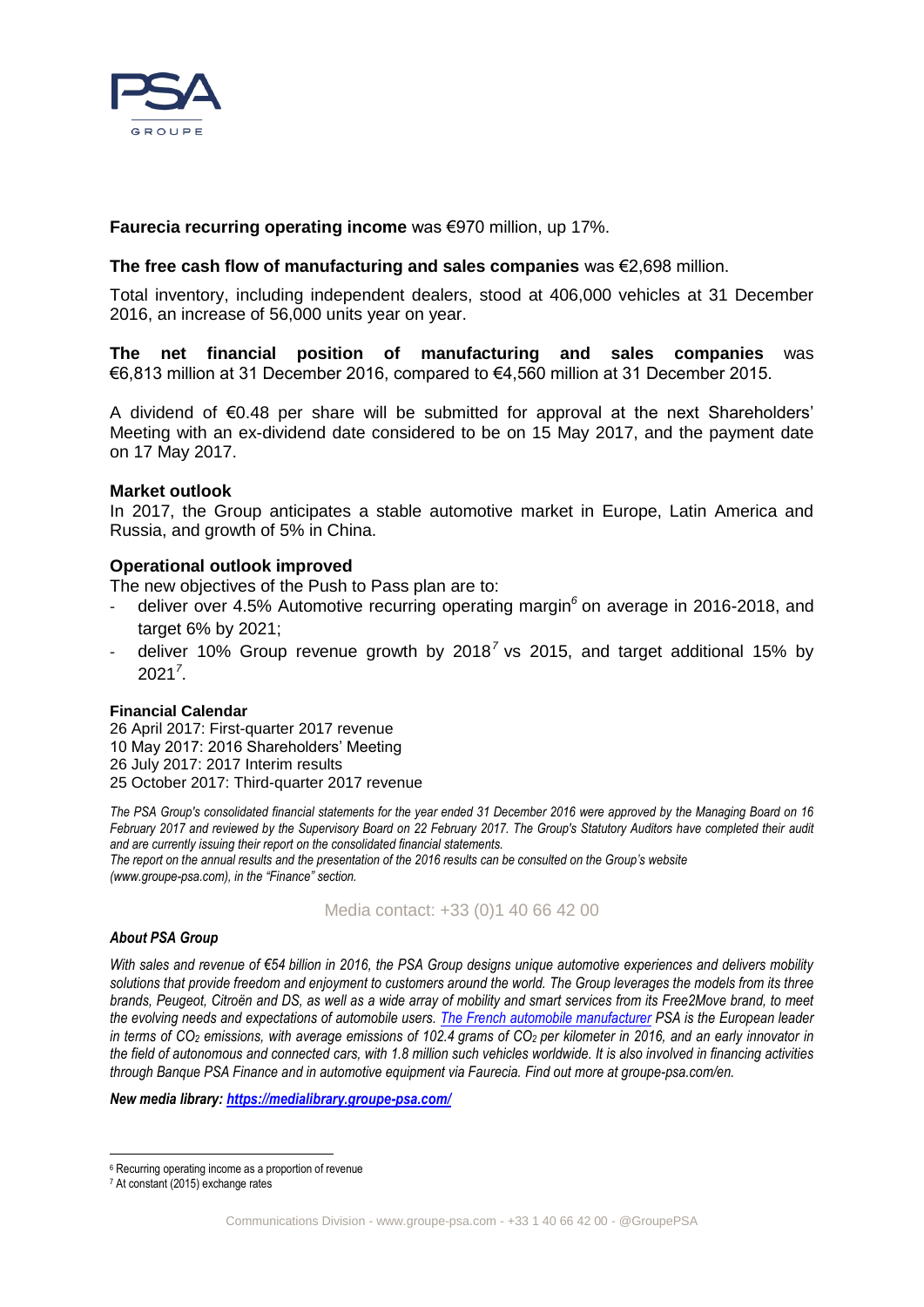

## **Faurecia recurring operating income** was €970 million, up 17%.

## **The free cash flow of manufacturing and sales companies** was €2,698 million.

Total inventory, including independent dealers, stood at 406,000 vehicles at 31 December 2016, an increase of 56,000 units year on year.

**The net financial position of manufacturing and sales companies** was €6,813 million at 31 December 2016, compared to €4,560 million at 31 December 2015.

A dividend of €0.48 per share will be submitted for approval at the next Shareholders' Meeting with an ex-dividend date considered to be on 15 May 2017, and the payment date on 17 May 2017.

### **Market outlook**

In 2017, the Group anticipates a stable automotive market in Europe, Latin America and Russia, and growth of 5% in China.

### **Operational outlook improved**

The new objectives of the Push to Pass plan are to:

- deliver over 4.5% Automotive recurring operating margin<sup>6</sup> on average in 2016-2018, and target 6% by 2021;
- deliver 10% Group revenue growth by 2018<sup>7</sup> vs 2015, and target additional 15% by 202[1](#page-1-0)*<sup>7</sup>* .

#### **Financial Calendar**

26 April 2017: First-quarter 2017 revenue 10 May 2017: 2016 Shareholders' Meeting 26 July 2017: 2017 Interim results 25 October 2017: Third-quarter 2017 revenue

*The PSA Group's consolidated financial statements for the year ended 31 December 2016 were approved by the Managing Board on 16 February 2017 and reviewed by the Supervisory Board on 22 February 2017. The Group's Statutory Auditors have completed their audit and are currently issuing their report on the consolidated financial statements.*

*The report on the annual results and the presentation of the 2016 results can be consulted on the Group's website (www.groupe-psa.com), in the "Finance" section.*

#### <span id="page-1-0"></span>Media contact: +33 (0)1 40 66 42 00

#### *About PSA Group*

*With sales and revenue of €54 billion in 2016, the PSA Group designs unique automotive experiences and delivers mobility solutions that provide freedom and enjoyment to customers around the world. The Group leverages the models from its three brands, Peugeot, Citroën and DS, as well as a wide array of mobility and smart services from its Free2Move brand, to meet the evolving needs and expectations of automobile users. [The French automobile manufacturer](https://www.groupe-psa.com/en) PSA is the European leader in terms of CO<sup>2</sup> emissions, with average emissions of 102.4 grams of CO<sup>2</sup> per kilometer in 2016, and an early innovator in the field of autonomous and connected cars, with 1.8 million such vehicles worldwide. It is also involved in financing activities through Banque PSA Finance and in automotive equipment via Faurecia. Find out more at groupe-psa.com/en.*

*New media library:<https://medialibrary.groupe-psa.com/>*

-

<sup>6</sup> Recurring operating income as a proportion of revenue

<sup>7</sup> At constant (2015) exchange rates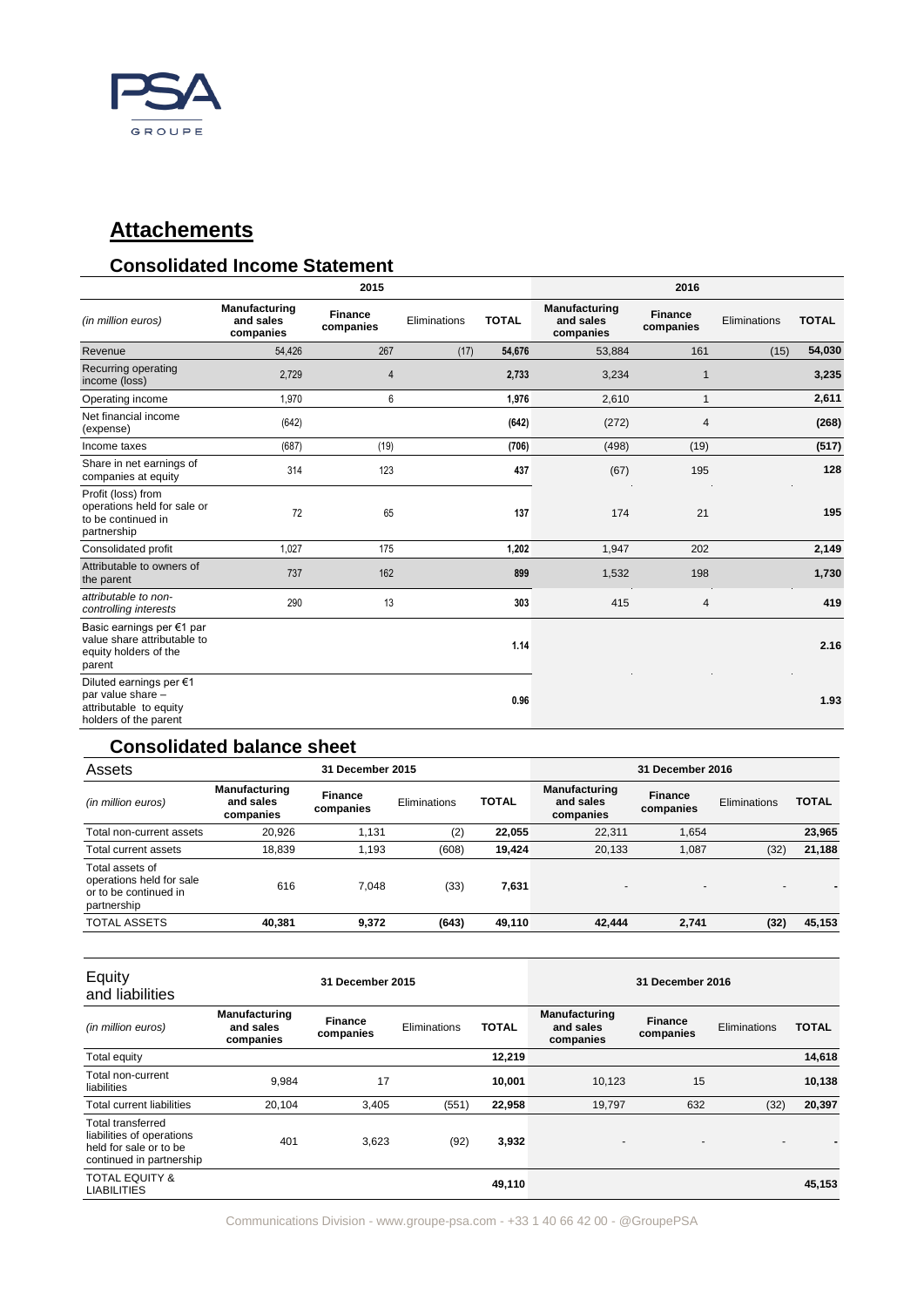

# **Attachements**

## **Consolidated Income Statement**

|                                                                                                 |                                                | 2015                        |              |              |                                                | 2016                        |              |              |
|-------------------------------------------------------------------------------------------------|------------------------------------------------|-----------------------------|--------------|--------------|------------------------------------------------|-----------------------------|--------------|--------------|
| (in million euros)                                                                              | <b>Manufacturing</b><br>and sales<br>companies | <b>Finance</b><br>companies | Eliminations | <b>TOTAL</b> | <b>Manufacturing</b><br>and sales<br>companies | <b>Finance</b><br>companies | Eliminations | <b>TOTAL</b> |
| Revenue                                                                                         | 54,426                                         | 267                         | (17)         | 54,676       | 53,884                                         | 161                         | (15)         | 54,030       |
| Recurring operating<br>income (loss)                                                            | 2,729                                          | 4                           |              | 2,733        | 3,234                                          | $\mathbf{1}$                |              | 3,235        |
| Operating income                                                                                | 1,970                                          | 6                           |              | 1,976        | 2,610                                          | $\mathbf{1}$                |              | 2,611        |
| Net financial income<br>(expense)                                                               | (642)                                          |                             |              | (642)        | (272)                                          | 4                           |              | (268)        |
| Income taxes                                                                                    | (687)                                          | (19)                        |              | (706)        | (498)                                          | (19)                        |              | (517)        |
| Share in net earnings of<br>companies at equity                                                 | 314                                            | 123                         |              | 437          | (67)                                           | 195                         |              | 128          |
| Profit (loss) from<br>operations held for sale or<br>to be continued in<br>partnership          | 72                                             | 65                          |              | 137          | 174                                            | 21                          |              | 195          |
| Consolidated profit                                                                             | 1,027                                          | 175                         |              | 1,202        | 1,947                                          | 202                         |              | 2,149        |
| Attributable to owners of<br>the parent                                                         | 737                                            | 162                         |              | 899          | 1,532                                          | 198                         |              | 1,730        |
| attributable to non-<br>controlling interests                                                   | 290                                            | 13                          |              | 303          | 415                                            | $\overline{4}$              |              | 419          |
| Basic earnings per €1 par<br>value share attributable to<br>equity holders of the<br>parent     |                                                |                             |              | 1.14         |                                                |                             |              | 2.16         |
| Diluted earnings per €1<br>par value share -<br>attributable to equity<br>holders of the parent |                                                |                             |              | 0.96         |                                                |                             |              | 1.93         |

## **Consolidated balance sheet**

| Assets                                                                              | <b>31 December 2015</b>                 |                             |              |              | 31 December 2016                               |                             |              |              |
|-------------------------------------------------------------------------------------|-----------------------------------------|-----------------------------|--------------|--------------|------------------------------------------------|-----------------------------|--------------|--------------|
| (in million euros)                                                                  | Manufacturing<br>and sales<br>companies | <b>Finance</b><br>companies | Eliminations | <b>TOTAL</b> | <b>Manufacturing</b><br>and sales<br>companies | <b>Finance</b><br>companies | Eliminations | <b>TOTAL</b> |
| Total non-current assets                                                            | 20.926                                  | 1.131                       | (2)          | 22,055       | 22.311                                         | 1.654                       |              | 23,965       |
| Total current assets                                                                | 18.839                                  | 1.193                       | (608)        | 19,424       | 20,133                                         | 1.087                       | (32)         | 21,188       |
| Total assets of<br>operations held for sale<br>or to be continued in<br>partnership | 616                                     | 7.048                       | (33)         | 7,631        | $\overline{\phantom{a}}$                       | $\overline{\phantom{0}}$    | -            |              |
| <b>TOTAL ASSETS</b>                                                                 | 40,381                                  | 9,372                       | (643)        | 49,110       | 42,444                                         | 2,741                       | (32)         | 45,153       |

<u> Tanzania de la contenentación de la contenentación de la contenentación de la contenentación de la contenenta</u>

| Equity<br>and liabilities                                                                            | 31 December 2015                               |                      |              |              | 31 December 2016                               |                             |              |              |
|------------------------------------------------------------------------------------------------------|------------------------------------------------|----------------------|--------------|--------------|------------------------------------------------|-----------------------------|--------------|--------------|
| (in million euros)                                                                                   | <b>Manufacturing</b><br>and sales<br>companies | Finance<br>companies | Eliminations | <b>TOTAL</b> | <b>Manufacturing</b><br>and sales<br>companies | <b>Finance</b><br>companies | Eliminations | <b>TOTAL</b> |
| Total equity                                                                                         |                                                |                      |              | 12,219       |                                                |                             |              | 14,618       |
| Total non-current<br>liabilities                                                                     | 9,984                                          | 17                   |              | 10.001       | 10.123                                         | 15                          |              | 10,138       |
| Total current liabilities                                                                            | 20,104                                         | 3,405                | (551)        | 22,958       | 19.797                                         | 632                         | (32)         | 20,397       |
| Total transferred<br>liabilities of operations<br>held for sale or to be<br>continued in partnership | 401                                            | 3,623                | (92)         | 3,932        | $\overline{\phantom{a}}$                       |                             |              |              |
| <b>TOTAL EQUITY &amp;</b><br><b>LIABILITIES</b>                                                      |                                                |                      |              | 49,110       |                                                |                             |              | 45,153       |

Communications Division - [www.groupe-psa.com](http://www.groupe-psa.com/) - +33 1 40 66 42 00 - @GroupePSA